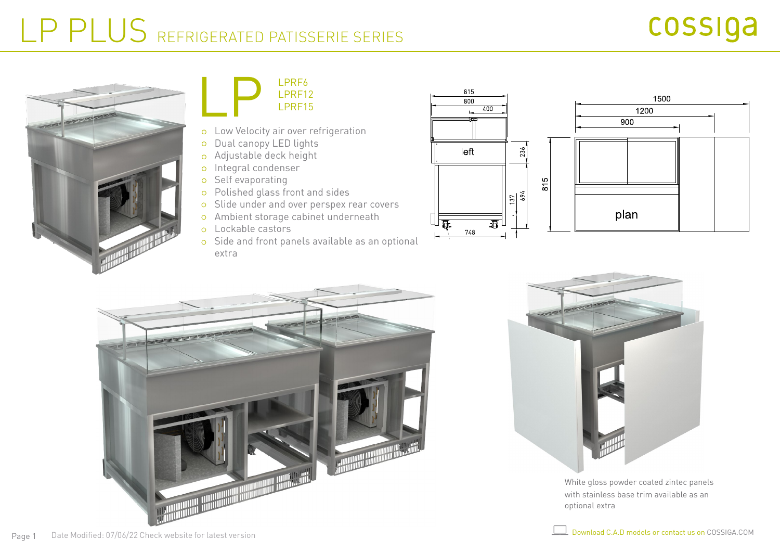# LP PLUS REFRIGERATED PATISSERIE SERIES







- Low Velocity air over refrigeration
- Dual canopy LED lights  $\circ$
- Adjustable deck height  $\circ$
- Integral condenser  $\circ$
- o Self evaporating
- Polished glass front and sides
- Slide under and over perspex rear covers  $\circ$
- Ambient storage cabinet underneath
- Lockable castors
- o Side and front panels available as an optional extra







White gloss powder coated zintec panels with stainless base trim available as an optional extra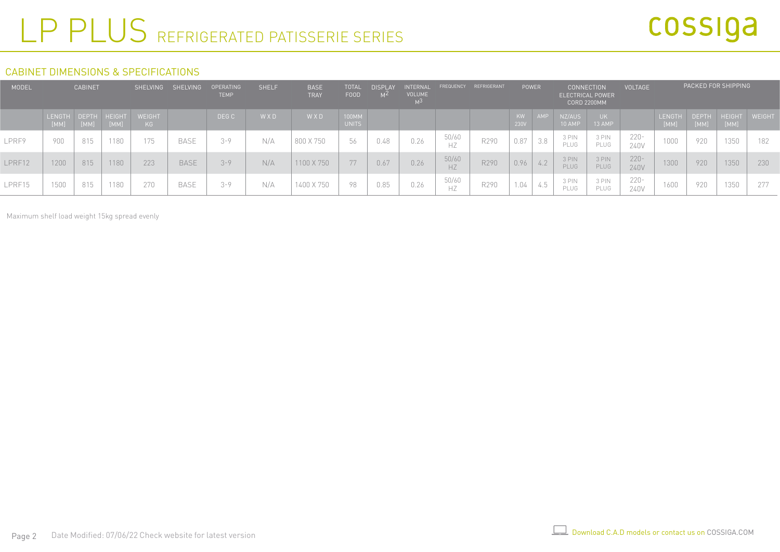# LP PLUS REFRIGERATED PATISSERIE SERIES

## cossiga

### CABINET DIMENSIONS & SPECIFICATIONS

| <b>MODEL</b> | <b>CABINET</b>       |      | SHELVING              | SHELVING            | OPERATING<br><b>TEMP</b> | <b>SHELF</b> | <b>BASE</b><br><b>TRAY</b> | <b>TOTAL</b><br>FOOD | <b>DISPLAY</b><br>$M^2$ | INTERNAL<br>VOLUME |      | FREQUENCY REFRIGERANT | POWER |              | <b>CONNECTION</b><br>ELECTRICAL POWER<br><b>CORD 2200MM</b> |                  | <b>VOLTAGE</b>      | PACKED FOR SHIPPING |                       |                      |                |        |
|--------------|----------------------|------|-----------------------|---------------------|--------------------------|--------------|----------------------------|----------------------|-------------------------|--------------------|------|-----------------------|-------|--------------|-------------------------------------------------------------|------------------|---------------------|---------------------|-----------------------|----------------------|----------------|--------|
|              | LENGTH DEPTH<br>[MM] | [MM] | <b>HEIGHT</b><br>[MM] | <b>WEIGHT</b><br>KG |                          | DEG C        | WXD                        | WXD                  | 100MM<br><b>UNITS</b>   |                    |      |                       |       | KW /<br>230V | AMP                                                         | NZ/AUS<br>10 AMP | <b>UK</b><br>13 AMP |                     | <b>LENGTH</b><br>[MM] | <b>DEPTH</b><br>[MM] | HEIGHT<br>[MM] | WEIGHT |
| LPRF9        | 900                  | 815  | 1180                  | 175                 | <b>BASE</b>              | $3 - 9$      | N/A                        | 800 X 750            | 56                      | 0.48               | 0.26 | 50/60<br>HZ           | R290  | 0.87         | 3.8                                                         | 3 PIN<br>PLUG    | 3 PIN<br>PLUG       | $220 -$<br>240V     | 1000                  | 920                  | 1350           | 182    |
| LPRF12       | 1200                 | 815  | 1180                  | 223                 | <b>BASE</b>              | $3 - 9$      | N/A                        | 1100 X 750           | 77                      | 0.67               | 0.26 | 50/60<br><b>HZ</b>    | R290  | 0.96         | 4.2                                                         | 3 PIN<br>PLUG    | 3 PIN<br>PLUG       | $220 -$<br>240V     | 1300                  | 920                  | 1350           | 230    |
| LPRF15       | 1500                 | 815  | 1180                  | 270                 | <b>BASE</b>              | $3 - 9$      | N/A                        | 1400 X 750           | 98                      | 0.85               | 0.26 | 50/60<br><b>HZ</b>    | R290  | 1.04         | 4.5                                                         | 3 PIN<br>PLUG    | 3 PIN<br>PLUG       | $220 -$<br>240V     | 1600                  | 920                  | 1350           | 277    |

Maximum shelf load weight 15kg spread evenly